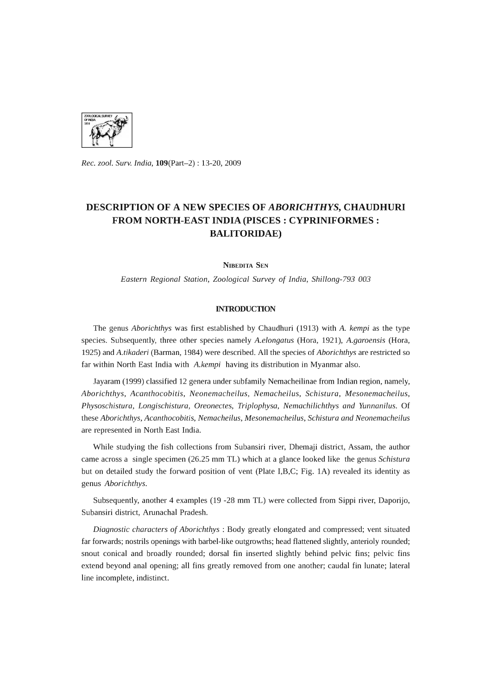

*Rec. zool. Surv. India,* 109(Part-2) : 13-20, 2009

# **DESCRIPTION OF A NEW SPECIES OF** *ABORICHTHYS,* **CHAUDHURI FROM NORTH-EAST INDIA (PISCES: CYPRINIFORMES : BALITORIDAE)**

NIBEDITA SEN

*Eastern Regional Station, Zoological Survey* of *India, Shillong-793 003* 

# **INTRODUCTION**

The genus *Aborichthys* was first established by Chaudhuri (1913) with *A. kempi* as the type species. Subsequently, three other species namely *A.elongatus* (Hora, 1921), *A.garoensis* (Hora, 1925) and *A.tikaderi* (Barman, 1984) were described. All the species of *Aborichthys* are restricted so far within North East India with *A.kempi* having its distribution in Myanmar also.

Jayaram (1999) classified 12 genera under subfamily Nemacheilinae from Indian region, namely, *Aborichthys, Acanthocobitis, Neonemacheilus, Nemacheilus, Schistura, Mesonemacheilus, Physoschistura, Longischistura, Oreonectes, Triplophysa, Nemachilichthys and Yunnanilus.* Of these *Aborichthys, Acanthocobitis, Nemacheilus, Mesonemacheilus, Schistura and Neonemacheilus*  are represented in North East India.

While studying the fish collections from Subansiri river, Dhemaji district, Assam, the author came across a single specimen (26.25 mm TL) which at a glance looked like the genus *Schistura*  but on detailed study the forward position of vent (Plate I,B,C; Fig. lA) revealed its identity as genus *Aborichthys.* 

Subsequently, another 4 examples (19 -28 mm TL) were collected from Sippi river, Daporijo, Subansiri district, Arunachal Pradesh.

*Diagnostic characters* of *Aborichthys* : Body greatly elongated and compressed; vent situated far forwards; nostrils openings with barbel-like outgrowths; head flattened slightly, anterioly rounded; snout conical and broadly rounded; dorsal fin inserted slightly behind pelvic fins; pelvic fins extend beyond anal opening; all fins greatly removed from one another; caudal fin lunate; lateral line incomplete, indistinct.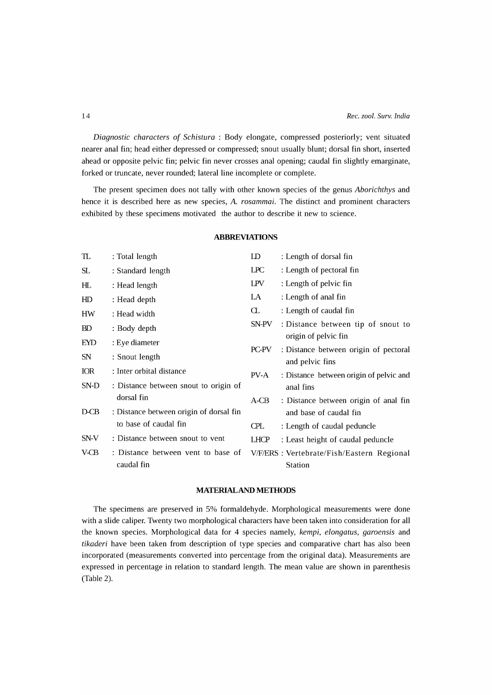*Diagnostic characters* of *Schistura* : Body elongate, compressed posteriorly; vent situated nearer anal fin; head either depressed or compressed; snout usually blunt; dorsal fin short, inserted ahead or opposite pelvic fin; pelvic fin never crosses anal opening; caudal fin slightly emarginate, forked or truncate, never rounded; lateral line incomplete or complete.

The present specimen does not tally with other known species of the genus *Aborichthys* and hence it is described here as new species, *A. rosammai.* The distinct and prominent characters exhibited by these specimens motivated the author to describe it new to science.

# **ABBREVIATIONS**

| TL         | : Total length                                   | LD          | : Length of dorsal fin                                   |
|------------|--------------------------------------------------|-------------|----------------------------------------------------------|
| SL         | : Standard length                                | LPC.        | : Length of pectoral fin                                 |
| HL.        | : Head length                                    | <b>LPV</b>  | : Length of pelvic fin                                   |
| HD         | : Head depth                                     | LA          | : Length of anal fin                                     |
| HW         | : Head width                                     | Œ.          | : Length of caudal fin                                   |
| BD         | : Body depth                                     | SN-PV       | : Distance between tip of snout to                       |
| <b>EYD</b> | : Eye diameter                                   |             | origin of pelvic fin                                     |
| SN         | : Snout length                                   | PC-PV       | : Distance between origin of pectoral<br>and pelvic fins |
| <b>IOR</b> | : Inter orbital distance                         | PV-A        | : Distance between origin of pelvic and                  |
| SN-D       | : Distance between snout to origin of            |             | anal fins                                                |
|            | dorsal fin                                       | A-CB        | : Distance between origin of anal fin                    |
| $D-CB$     | : Distance between origin of dorsal fin          |             | and base of caudal fin                                   |
|            | to base of caudal fin                            | <b>CPL</b>  | : Length of caudal peduncle                              |
| SN-V       | : Distance between snout to vent                 | <b>LHCP</b> | : Least height of caudal peduncle                        |
| V-CB       | : Distance between vent to base of<br>caudal fin |             | V/F/ERS : Vertebrate/Fish/Eastern Regional<br>Station    |

# **MATERIALAND METHODS**

The specimens are preserved in 5% formaldehyde. Morphological measurements were done with a slide caliper. Twenty two morphological characters have been taken into consideration for all the known species. Morphological data for 4 species namely, *kempi*, *elongatus*, *garoensis* and *tikaderi* have been taken from description of type species and comparative chart has also been incorporated (measurements converted into percentage from the original data). Measurements are expressed in percentage in relation to standard length. The mean value are shown in parenthesis (Table 2).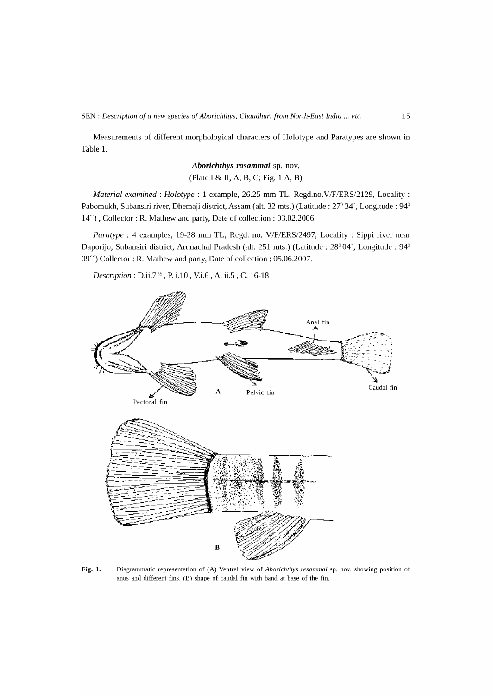Measurements of different morphological characters of Holotype and Paratypes are shown in Table 1.

> *Aborichthys rosammai* sp. nov. (Plate I & II, A, B, C; Pig. 1 A, B)

*Material examined: Holotype* : 1 example, 26.25 mm TL, *Regd.no.V/P/ERS/2129,* Locality: Pabomukh, Subansiri river, Dhemaji district, Assam (alt. 32 mts.) (Latitude: 27° 34', Longitude: 94° 14") , Collector: R. Mathew and party, Date of collection: 03.02.2006.

*Paratype* : 4 examples, 19-28 mm TL, Regd. no. *V/P/ERS/2497,* Locality: Sippi river near Daporijo, Subansiri district, Arunachal Pradesh (alt. 251 mts.) (Latitude: 28° 04', Longitude: 94° 09") Collector: R. Mathew and party, Date of collection: 05.06.2007.

*Description*: *D.ii.7<sup>34</sup>*, *P.* i.10, *V.i.*6, *A.* ii.5, *C.* 16-18



Fig. 1. Diagrammatic representation of (A) Ventral view of *Aborichthys resammai* sp. nov. showing position of anus and different fins, (B) shape of caudal fin with band at base of the fin.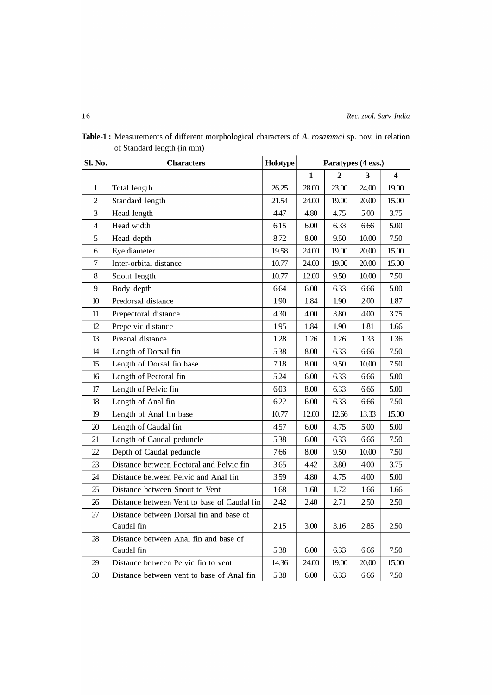| Sl. No.                  | <b>Characters</b>                           | Holotype | Paratypes (4 exs.) |                         |       |       |
|--------------------------|---------------------------------------------|----------|--------------------|-------------------------|-------|-------|
|                          |                                             |          | 1                  | $\overline{\mathbf{2}}$ | 3     | 4     |
| $\mathbf{1}$             | Total length                                | 26.25    | 28.00              | 23.00                   | 24.00 | 19.00 |
| $\overline{2}$           | Standard length                             | 21.54    | 24.00              | 19.00                   | 20.00 | 15.00 |
| 3                        | Head length                                 | 4.47     | 4.80               | 4.75                    | 5.00  | 3.75  |
| $\overline{\mathcal{L}}$ | Head width                                  | 6.15     | 6.00               | 6.33                    | 6.66  | 5.00  |
| 5                        | Head depth                                  | 8.72     | 8.00               | 9.50                    | 10.00 | 7.50  |
| 6                        | Eye diameter                                | 19.58    | 24.00              | 19.00                   | 20.00 | 15.00 |
| 7                        | Inter-orbital distance                      | 10.77    | 24.00              | 19.00                   | 20.00 | 15.00 |
| 8                        | Snout length                                | 10.77    | 12.00              | 9.50                    | 10.00 | 7.50  |
| 9                        | Body depth                                  | 6.64     | 6.00               | 6.33                    | 6.66  | 5.00  |
| 10                       | Predorsal distance                          | 1.90     | 1.84               | 1.90                    | 2.00  | 1.87  |
| 11                       | Prepectoral distance                        | 4.30     | 4.00               | 3.80                    | 4.00  | 3.75  |
| 12                       | Prepelvic distance                          | 1.95     | 1.84               | 1.90                    | 1.81  | 1.66  |
| 13                       | Preanal distance                            | 1.28     | 1.26               | 1.26                    | 1.33  | 1.36  |
| 14                       | Length of Dorsal fin                        | 5.38     | 8.00               | 6.33                    | 6.66  | 7.50  |
| 15                       | Length of Dorsal fin base                   | 7.18     | 8.00               | 9.50                    | 10.00 | 7.50  |
| 16                       | Length of Pectoral fin                      | 5.24     | 6.00               | 6.33                    | 6.66  | 5.00  |
| 17                       | Length of Pelvic fin                        | 6.03     | 8.00               | 6.33                    | 6.66  | 5.00  |
| 18                       | Length of Anal fin                          | 6.22     | 6.00               | 6.33                    | 6.66  | 7.50  |
| 19                       | Length of Anal fin base                     | 10.77    | 12.00              | 12.66                   | 13.33 | 15.00 |
| 20                       | Length of Caudal fin                        | 4.57     | 6.00               | 4.75                    | 5.00  | 5.00  |
| 21                       | Length of Caudal peduncle                   | 5.38     | 6.00               | 6.33                    | 6.66  | 7.50  |
| $\overline{22}$          | Depth of Caudal peduncle                    | 7.66     | 8.00               | 9.50                    | 10.00 | 7.50  |
| 23                       | Distance between Pectoral and Pelvic fin    | 3.65     | 4.42               | 3.80                    | 4.00  | 3.75  |
| 24                       | Distance between Pelvic and Anal fin        | 3.59     | 4.80               | 4.75                    | 4.00  | 5.00  |
| 25                       | Distance between Snout to Vent              | 1.68     | 1.60               | 1.72                    | 1.66  | 1.66  |
| 26                       | Distance between Vent to base of Caudal fin | 2.42     | 2.40               | 2.71                    | 2.50  | 2.50  |
| 27                       | Distance between Dorsal fin and base of     |          |                    |                         |       |       |
|                          | Caudal fin                                  | 2.15     | 3.00               | 3.16                    | 2.85  | 2.50  |
| 28                       | Distance between Anal fin and base of       |          |                    |                         |       |       |
|                          | Caudal fin                                  | 5.38     | 6.00               | 6.33                    | 6.66  | 7.50  |
| 29                       | Distance between Pelvic fin to vent         | 14.36    | 24.00              | 19.00                   | 20.00 | 15.00 |
| 30                       | Distance between vent to base of Anal fin   | 5.38     | 6.00               | 6.33                    | 6.66  | 7.50  |

Table-I: Measurements of different morphological characters of A. *rosammai* sp. nov. in relation of Standard length (in mm)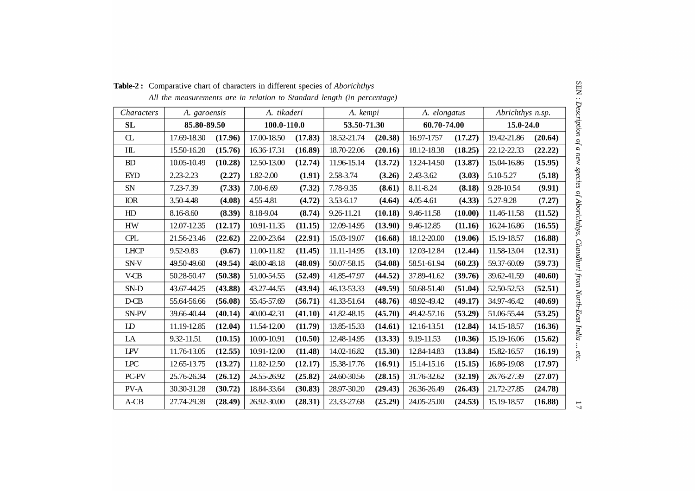| Characters     | A. garoensis |         | A. tikaderi     |         | A. kempi    |                            | A. elongatus |         | Abrichthys n.sp. |               |  |
|----------------|--------------|---------|-----------------|---------|-------------|----------------------------|--------------|---------|------------------|---------------|--|
| <b>SL</b>      | 85.80-89.50  |         | $100.0 - 110.0$ |         |             | 53.50-71.30<br>60.70-74.00 |              |         |                  | $15.0 - 24.0$ |  |
| $\sigma$       | 17.69-18.30  | (17.96) | 17.00-18.50     | (17.83) | 18.52-21.74 | (20.38)                    | 16.97-1757   | (17.27) | 19.42-21.86      | (20.64)       |  |
| H <sub>L</sub> | 15.50-16.20  | (15.76) | 16.36-17.31     | (16.89) | 18.70-22.06 | (20.16)                    | 18.12-18.38  | (18.25) | 22.12-22.33      | (22.22)       |  |
| BD             | 10.05-10.49  | (10.28) | 12.50-13.00     | (12.74) | 11.96-15.14 | (13.72)                    | 13.24-14.50  | (13.87) | 15.04-16.86      | (15.95)       |  |
| <b>EYD</b>     | 2.23-2.23    | (2.27)  | 1.82-2.00       | (1.91)  | 2.58-3.74   | (3.26)                     | 2.43-3.62    | (3.03)  | 5.10-5.27        | (5.18)        |  |
| SN             | 7.23-7.39    | (7.33)  | 7.00-6.69       | (7.32)  | 7.78-9.35   | (8.61)                     | 8.11-8.24    | (8.18)  | 9.28-10.54       | (9.91)        |  |
| IOR            | 3.50-4.48    | (4.08)  | 4.55-4.81       | (4.72)  | 3.53-6.17   | (4.64)                     | 4.05-4.61    | (4.33)  | 5.27-9.28        | (7.27)        |  |
| HD             | 8.16-8.60    | (8.39)  | 8.18-9.04       | (8.74)  | 9.26-11.21  | (10.18)                    | 9.46-11.58   | (10.00) | 11.46-11.58      | (11.52)       |  |
| HW             | 12.07-12.35  | (12.17) | 10.91-11.35     | (11.15) | 12.09-14.95 | (13.90)                    | 9.46-12.85   | (11.16) | 16.24-16.86      | (16.55)       |  |
| CPL            | 21.56-23.46  | (22.62) | 22.00-23.64     | (22.91) | 15.03-19.07 | (16.68)                    | 18.12-20.00  | (19.06) | 15.19-18.57      | (16.88)       |  |
| <b>LHCP</b>    | 9.52-9.83    | (9.67)  | 11.00-11.82     | (11.45) | 11.11-14.95 | (13.10)                    | 12.03-12.84  | (12.44) | 11.58-13.04      | (12.31)       |  |
| SN-V           | 49.50-49.60  | (49.54) | 48.00-48.18     | (48.09) | 50.07-58.15 | (54.08)                    | 58.51-61.94  | (60.23) | 59.37-60.09      | (59.73)       |  |
| <b>V-CB</b>    | 50.28-50.47  | (50.38) | 51.00-54.55     | (52.49) | 41.85-47.97 | (44.52)                    | 37.89-41.62  | (39.76) | 39.62-41.59      | (40.60)       |  |
| SN-D           | 43.67-44.25  | (43.88) | 43.27-44.55     | (43.94) | 46.13-53.33 | (49.59)                    | 50.68-51.40  | (51.04) | 52.50-52.53      | (52.51)       |  |
| $D-CB$         | 55.64-56.66  | (56.08) | 55.45-57.69     | (56.71) | 41.33-51.64 | (48.76)                    | 48.92-49.42  | (49.17) | 34.97-46.42      | (40.69)       |  |
| SN-PV          | 39.66-40.44  | (40.14) | 40.00-42.31     | (41.10) | 41.82-48.15 | (45.70)                    | 49.42-57.16  | (53.29) | 51.06-55.44      | (53.25)       |  |
| LD             | 11.19-12.85  | (12.04) | 11.54-12.00     | (11.79) | 13.85-15.33 | (14.61)                    | 12.16-13.51  | (12.84) | 14.15-18.57      | (16.36)       |  |
| LA             | 9.32-11.51   | (10.15) | 10.00-10.91     | (10.50) | 12.48-14.95 | (13.33)                    | 9.19-11.53   | (10.36) | 15.19-16.06      | (15.62)       |  |
| <b>LPV</b>     | 11.76-13.05  | (12.55) | 10.91-12.00     | (11.48) | 14.02-16.82 | (15.30)                    | 12.84-14.83  | (13.84) | 15.82-16.57      | (16.19)       |  |
| <b>LPC</b>     | 12.65-13.75  | (13.27) | 11.82-12.50     | (12.17) | 15.38-17.76 | (16.91)                    | 15.14-15.16  | (15.15) | 16.86-19.08      | (17.97)       |  |
| PC-PV          | 25.76-26.34  | (26.12) | 24.55-26.92     | (25.82) | 24.60-30.56 | (28.15)                    | 31.76-32.62  | (32.19) | 26.76-27.39      | (27.07)       |  |
| PV-A           | 30.30-31.28  | (30.72) | 18.84-33.64     | (30.83) | 28.97-30.20 | (29.43)                    | 26.36-26.49  | (26.43) | 21.72-27.85      | (24.78)       |  |
| $A-CB$         | 27.74-29.39  | (28.49) | 26.92-30.00     | (28.31) | 23.33-27.68 | (25.29)                    | 24.05-25.00  | (24.53) | 15.19-18.57      | (16.88)       |  |
|                |              |         |                 |         |             |                            |              |         |                  |               |  |

**Table-2:** Comparative chart of characters in different species of *Aborichthys All the measurements are in relation to Standard length (in percentage)* 

SEN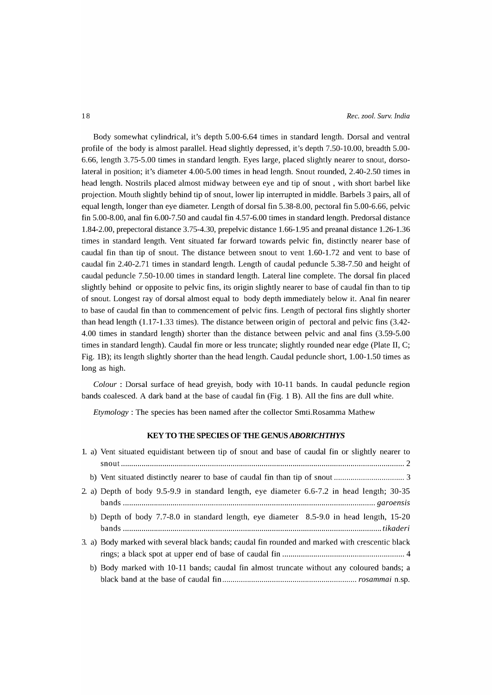Body somewhat cylindrical, it's depth 5.00-6.64 times in standard length. Dorsal and ventral profile of the body is almost parallel. Head slightly depressed, it's depth 7.50-10.00, breadth 5.00- 6.66, length 3.75-5.00 times in standard length. Eyes large, placed slightly nearer to snout, dorsolateral in position; it's diameter 4.00-5.00 times in head length. Snout rounded, 2.40-2.50 times in head length. Nostrils placed almost midway between eye and tip of snout, with short barbel like projection. Mouth slightly behind tip of snout, lower lip interrupted in middle. Barbels 3 pairs, all of equal length, longer than eye diameter. Length of dorsal fin 5.3S-S.00, pectoral fin 5.00-6.66, pelvic fin 5.00-S.00, anal fin 6.00-7.50 and caudal fin 4.57-6.00 times in standard length. Predorsal distance 1.S4-2.00, prepectoral distance 3.75-4.30, prepelvic distance 1.66-1.95 and preanal distance 1.26-1.36 times in standard length. Vent situated far forward towards pelvic fin, distinctly nearer base of caudal fin than tip of snout. The distance between snout to vent 1.60-1. 72 and vent to base of caudal fin 2.40-2.71 times in standard length. Length of caudal peduncle 5.3S-7.50 and height of caudal peduncle 7.50-10.00 times in standard length. Lateral line complete. The dorsal fin placed slightly behind or opposite to pelvic fins, its origin slightly nearer to base of caudal fin than to tip of snout. Longest ray of dorsal almost equal to body depth immediately below it. Anal fin nearer to base of caudal fin than to commencement of pelvic fins. Length of pectoral fins slightly shorter than head length (1.17-1.33 times). The distance between origin of pectoral and pelvic fins (3.42- 4.00 times in standard length) shorter than the distance between pelvic and anal fins (3.59-5.00 times in standard length). Caudal fin more or less truncate; slightly rounded near edge (Plate II, C; Fig. 1B); its length slightly shorter than the head length. Caudal peduncle short, 1.00-1.50 times as long as high.

*Colour:* Dorsal surface of head greyish, body with 10-11 bands. In caudal peduncle region bands coalesced. A dark band at the base of caudal fin (Fig. 1 B). All the fins are dull white.

*Etymology:* The species has been named after the collector Smti.Rosamma Mathew

### KEY TO THE SPECIES OF THE GENUS *ABORICHTHYS*

| 1. a) Vent situated equidistant between tip of snout and base of caudal fin or slightly nearer to |
|---------------------------------------------------------------------------------------------------|
|                                                                                                   |
|                                                                                                   |
| 2. a) Depth of body 9.5-9.9 in standard length, eye diameter 6.6-7.2 in head length; 30-35        |
| b) Depth of body 7.7-8.0 in standard length, eye diameter 8.5-9.0 in head length, 15-20           |
| 3. a) Body marked with several black bands; caudal fin rounded and marked with crescentic black   |
| b) Body marked with 10-11 bands; caudal fin almost truncate without any coloured bands; a         |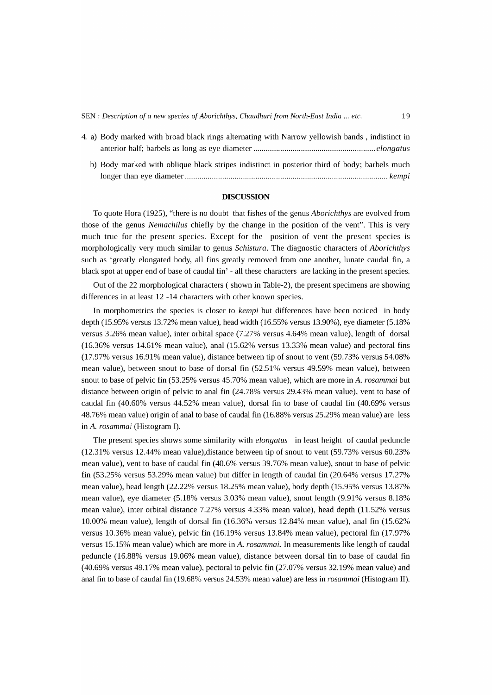| SEN : Description of a new species of Aborichthys, Chaudhuri from North-East India  etc. | 19 |
|------------------------------------------------------------------------------------------|----|
|------------------------------------------------------------------------------------------|----|

| 4. a) Body marked with broad black rings alternating with Narrow yellowish bands, indistinct in |
|-------------------------------------------------------------------------------------------------|
|                                                                                                 |
| b) Body marked with oblique black stripes indistinct in posterior third of body; barbels much   |
|                                                                                                 |

#### **DISCUSSION**

To quote Hora (1925), "there is no doubt that fishes of the genus *Aborichthys* are evolved from those of the genus *Nemachilus* chiefly by the change in the position of the vent". This is very much true for the present species. Except for the position of vent the present species is morphologically very much similar to genus *Schistura.* The diagnostic characters of *Aborichthys*  such as 'greatly elongated body, all fins greatly removed from one another, lunate caudal fin, a black spot at upper end of base of caudal fin' - all these characters are lacking in the present species.

Out of the 22 morphological characters ( shown in Table-2), the present specimens are showing differences in at least 12 -14 characters with other known species.

In morphometrics the species is closer to *kempi* but differences have been noticed in body depth (15.95% versus 13.72% mean value), head width (16.55% versus 13.90%), eye diameter (5.18% versus 3.26% mean value), inter orbital space (7.27% versus 4.64% mean value), length of dorsal (16.36% versus 14.61% mean value), anal (15.62% versus 13.33% mean value) and pectoral fins (17.97% versus 16.91% mean value), distance between tip of snout to vent (59.73% versus 54.08% mean value), between snout to base of dorsal fin (52.51% versus 49.59% mean value), between snout to base of pelvic fin (53.25% versus 45.70% mean value), which are more inA. *rosammai* but distance between origin of pelvic to anal fin (24.78% versus 29.43% mean value), vent to base of caudal fin (40.60% versus 44.52% mean value), dorsal fin to base of caudal fin (40.69% versus 48.76% mean value) origin of anal to base of caudal fin (16.88% versus 25.29% mean value) are less in A. *rosammai* (Histogram I).

The present species shows some similarity with *elongatus* in least height of caudal peduncle (12.31 % versus 12.44% mean value),distance between tip of snout to vent (59.73% versus 60.23% mean value), vent to base of caudal fin (40.6% versus 39.76% mean value), snout to base of pelvic fin (53.25% versus 53.29% mean value) but differ in length of caudal fin (20.64% versus 17.27% mean value), head length (22.22% versus 18.25% mean value), body depth (15.95% versus 13.87% mean value), eye diameter (5.18% versus 3.03% mean value), snout length (9.91% versus 8.18% mean value), inter orbital distance 7.27% versus 4.33% mean value), head depth (11.52% versus 10.00% mean value), length of dorsal fin (16.36% versus 12.84% mean value), anal fin (15.62% versus 10.36% mean value), pelvic fin (16.19% versus 13.84% mean value), pectoral fin (17.97% versus 15.15% mean value) which are more in *A. rosammai.* In measurements like length of caudal peduncle (16.88% versus 19.06% mean value), distance between dorsal fin to base of caudal fin (40.69% versus 49.17% mean value), pectoral to pelvic fin (27.07% versus 32.19% mean value) and anal fin to base of caudal fin (19.68% versus 24.53% mean value) are less in *rosammai* (Histogram II).